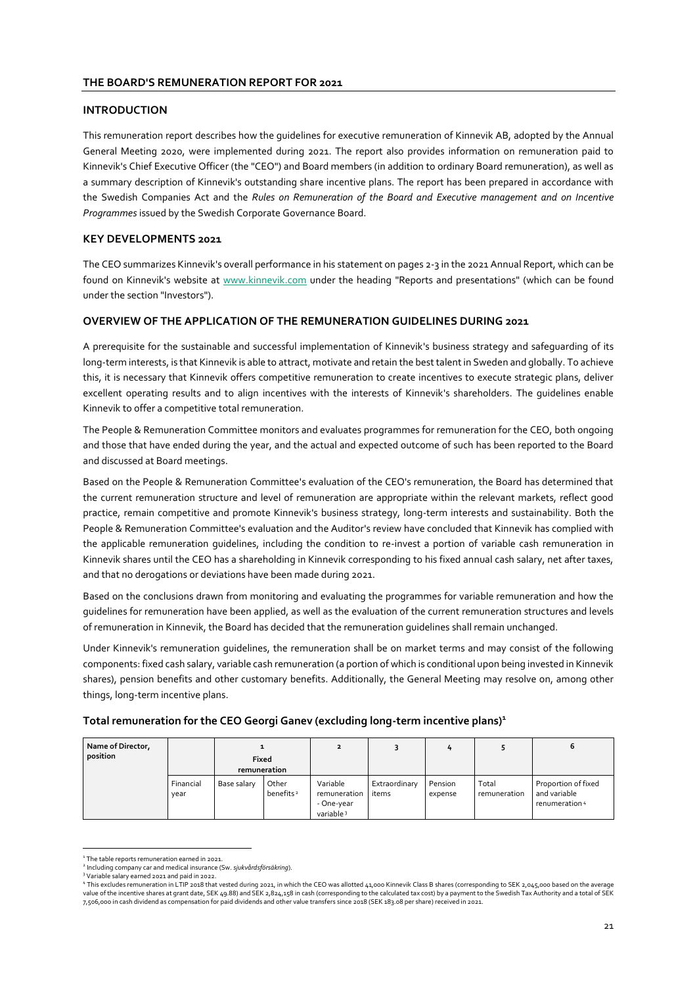#### **THE BOARD'S REMUNERATION REPORT FOR 2021**

### **INTRODUCTION**

This remuneration report describes how the guidelines for executive remuneration of Kinnevik AB, adopted by the Annual General Meeting 2020, were implemented during 2021. The report also provides information on remuneration paid to Kinnevik's Chief Executive Officer (the "CEO") and Board members (in addition to ordinary Board remuneration), as well as a summary description of Kinnevik's outstanding share incentive plans. The report has been prepared in accordance with the Swedish Companies Act and the *Rules on Remuneration of the Board and Executive management and on Incentive Programmes* issued by the Swedish Corporate Governance Board.

# **KEY DEVELOPMENTS 2021**

The CEO summarizes Kinnevik's overall performance in his statement on pages 2-3 in the 2021 Annual Report, which can be found on Kinnevik's website at www.kinnevik.com under the heading "Reports and presentations" (which can be found under the section "Investors").

### **OVERVIEW OF THE APPLICATION OF THE REMUNERATION GUIDELINES DURING 2021**

A prerequisite for the sustainable and successful implementation of Kinnevik's business strategy and safeguarding of its long-term interests, is that Kinnevik is able to attract, motivate and retain the best talent in Sweden and globally. To achieve this, it is necessary that Kinnevik offers competitive remuneration to create incentives to execute strategic plans, deliver excellent operating results and to align incentives with the interests of Kinnevik's shareholders. The guidelines enable Kinnevik to offer a competitive total remuneration.

The People & Remuneration Committee monitors and evaluates programmes for remuneration for the CEO, both ongoing and those that have ended during the year, and the actual and expected outcome of such has been reported to the Board and discussed at Board meetings.

Based on the People & Remuneration Committee's evaluation of the CEO's remuneration, the Board has determined that the current remuneration structure and level of remuneration are appropriate within the relevant markets, reflect good practice, remain competitive and promote Kinnevik's business strategy, long-term interests and sustainability. Both the People & Remuneration Committee's evaluation and the Auditor's review have concluded that Kinnevik has complied with the applicable remuneration guidelines, including the condition to re-invest a portion of variable cash remuneration in Kinnevik shares until the CEO has a shareholding in Kinnevik corresponding to his fixed annual cash salary, net after taxes, and that no derogations or deviations have been made during 2021.

Based on the conclusions drawn from monitoring and evaluating the programmes for variable remuneration and how the guidelines for remuneration have been applied, as well as the evaluation of the current remuneration structures and levels of remuneration in Kinnevik, the Board has decided that the remuneration guidelines shall remain unchanged.

Under Kinnevik's remuneration guidelines, the remuneration shall be on market terms and may consist of the following components: fixed cash salary, variable cash remuneration (a portion of which is conditional upon being invested in Kinnevik shares), pension benefits and other customary benefits. Additionally, the General Meeting may resolve on, among other things, long-term incentive plans.

| Total remuneration for the CEO Georgi Ganev (excluding long-term incentive plans) <sup>1</sup> |  |  |
|------------------------------------------------------------------------------------------------|--|--|
|                                                                                                |  |  |

| Name of Director,<br>position |                   | <b>Fixed</b><br>remuneration |                                |                                                                 |                        | 4                  |                       | ь                                                     |
|-------------------------------|-------------------|------------------------------|--------------------------------|-----------------------------------------------------------------|------------------------|--------------------|-----------------------|-------------------------------------------------------|
|                               | Financial<br>year | Base salary                  | Other<br>benefits <sup>2</sup> | Variable<br>remuneration<br>- One-year<br>variable <sup>3</sup> | Extraordinary<br>items | Pension<br>expense | Total<br>remuneration | Proportion of fixed<br>and variable<br>renumeration 4 |

<sup>&</sup>lt;sup>1</sup> The table reports remuneration earned in 2021.

<sup>2</sup> Including company car and medical insurance (Sw. *sjukvårdsförsäkring*).

<sup>&</sup>lt;sup>3</sup> Variable salary earned 2021 and paid in 2022.<br><sup>4</sup> This excludes remuneration in LTIP 2018 that vested during 2021, in which the CEO was allotted 41,000 Kinnevik Class B shares (corresponding to SEK 2,045,000 based on t value of the incentive shares at grant date, SEK 49.88) and SEK 2,824,158 in cash (corresponding to the calculated tax cost) by a payment to the Swedish Tax Authority and a total of SEK 7,506,000 in cash dividend as compensation for paid dividends and other value transfers since 2018 (SEK 183.08 per share) received in 2021.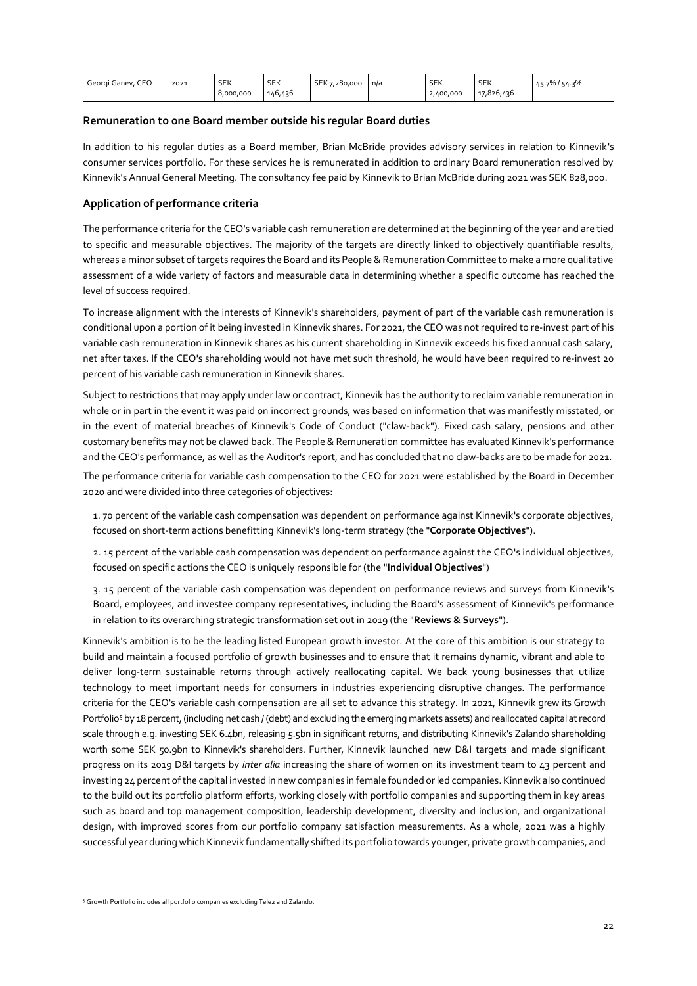| Georgi Ganev, CEO | 2021 | <b>SEK</b> | C <sub>1</sub><br>SEK | <b>SEK</b><br>.7.280.000 | n/a | <b>SEK</b> | $\sim$ $\sim$ $\sim$<br>SEK | 154.3%<br>$5.7\%$ /<br>45.7 |
|-------------------|------|------------|-----------------------|--------------------------|-----|------------|-----------------------------|-----------------------------|
|                   |      | 8,000,000  | 146,436               |                          |     | 2.400.000  | $\sim$ $\sim$<br>17.826.436 |                             |

### **Remuneration to one Board member outside his regular Board duties**

In addition to his regular duties as a Board member, Brian McBride provides advisory services in relation to Kinnevik's consumer services portfolio. For these services he is remunerated in addition to ordinary Board remuneration resolved by Kinnevik's Annual General Meeting. The consultancy fee paid by Kinnevik to Brian McBride during 2021 was SEK 828,000.

# **Application of performance criteria**

The performance criteria for the CEO's variable cash remuneration are determined at the beginning of the year and are tied to specific and measurable objectives. The majority of the targets are directly linked to objectively quantifiable results, whereas a minor subset of targets requires the Board and its People & Remuneration Committee to make a more qualitative assessment of a wide variety of factors and measurable data in determining whether a specific outcome has reached the level of success required.

To increase alignment with the interests of Kinnevik's shareholders, payment of part of the variable cash remuneration is conditional upon a portion of it being invested in Kinnevik shares. For 2021, the CEO was not required to re-invest part of his variable cash remuneration in Kinnevik shares as his current shareholding in Kinnevik exceeds his fixed annual cash salary, net after taxes. If the CEO's shareholding would not have met such threshold, he would have been required to re-invest 20 percent of his variable cash remuneration in Kinnevik shares.

Subject to restrictions that may apply under law or contract, Kinnevik has the authority to reclaim variable remuneration in whole or in part in the event it was paid on incorrect grounds, was based on information that was manifestly misstated, or in the event of material breaches of Kinnevik's Code of Conduct ("claw-back"). Fixed cash salary, pensions and other customary benefits may not be clawed back. The People & Remuneration committee has evaluated Kinnevik's performance and the CEO's performance, as well as the Auditor's report, and has concluded that no claw-backs are to be made for 2021. The performance criteria for variable cash compensation to the CEO for 2021 were established by the Board in December 2020 and were divided into three categories of objectives:

1. 70 percent of the variable cash compensation was dependent on performance against Kinnevik's corporate objectives, focused on short-term actions benefitting Kinnevik's long-term strategy (the "**Corporate Objectives**").

2. 15 percent of the variable cash compensation was dependent on performance against the CEO's individual objectives, focused on specific actions the CEO is uniquely responsible for (the "**Individual Objectives**")

3. 15 percent of the variable cash compensation was dependent on performance reviews and surveys from Kinnevik's Board, employees, and investee company representatives, including the Board's assessment of Kinnevik's performance in relation to its overarching strategic transformation set out in 2019 (the "**Reviews & Surveys**").

Kinnevik's ambition is to be the leading listed European growth investor. At the core of this ambition is our strategy to build and maintain a focused portfolio of growth businesses and to ensure that it remains dynamic, vibrant and able to deliver long-term sustainable returns through actively reallocating capital. We back young businesses that utilize technology to meet important needs for consumers in industries experiencing disruptive changes. The performance criteria for the CEO's variable cash compensation are all set to advance this strategy. In 2021, Kinnevik grew its Growth Portfolio<sup>5</sup> by 18 percent, (including net cash / (debt) and excluding the emerging markets assets) and reallocated capital at record scale through e.g. investing SEK 6.4bn, releasing 5.5bn in significant returns, and distributing Kinnevik's Zalando shareholding worth some SEK 50.9bn to Kinnevik's shareholders. Further, Kinnevik launched new D&I targets and made significant progress on its 2019 D&I targets by *inter alia* increasing the share of women on its investment team to 43 percent and investing 24 percent of the capital invested in new companies in female founded or led companies. Kinnevik also continued to the build out its portfolio platform efforts, working closely with portfolio companies and supporting them in key areas such as board and top management composition, leadership development, diversity and inclusion, and organizational design, with improved scores from our portfolio company satisfaction measurements. As a whole, 2021 was a highly successful year during which Kinnevik fundamentally shifted its portfolio towards younger, private growth companies, and

<sup>&</sup>lt;sup>5</sup> Growth Portfolio includes all portfolio companies excluding Tele2 and Zalando.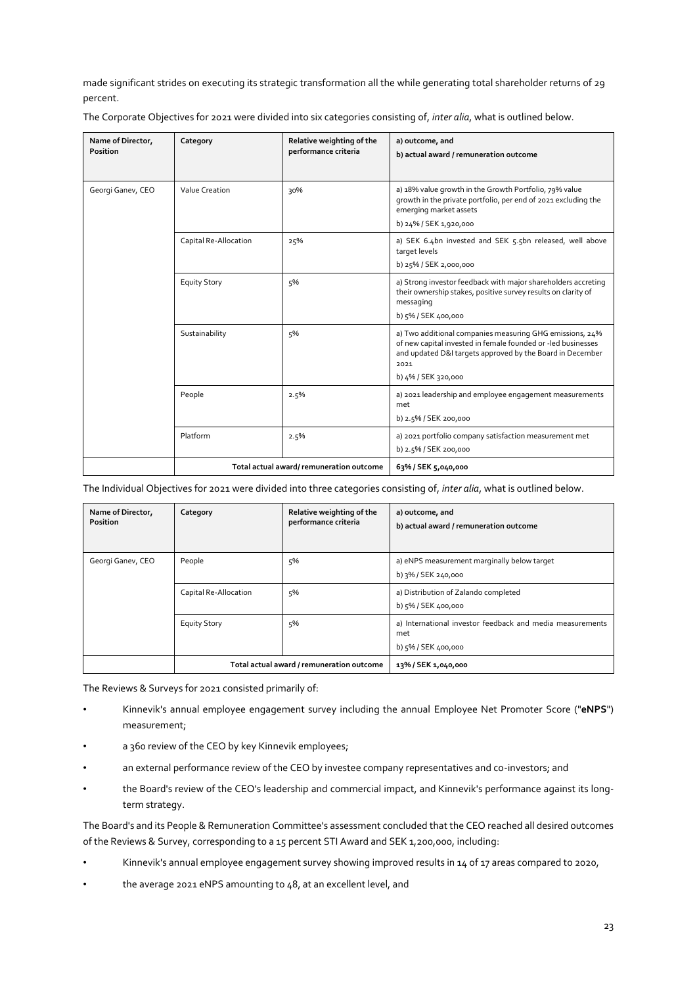made significant strides on executing its strategic transformation all the while generating total shareholder returns of 29 percent.

The Corporate Objectives for 2021 were divided into six categories consisting of, *inter alia*, what is outlined below.

| Name of Director,<br>Position | Category              | Relative weighting of the<br>performance criteria | a) outcome, and<br>b) actual award / remuneration outcome                                                                                                                                                            |
|-------------------------------|-----------------------|---------------------------------------------------|----------------------------------------------------------------------------------------------------------------------------------------------------------------------------------------------------------------------|
| Georgi Ganev, CEO             | Value Creation        | 30%                                               | a) 18% value growth in the Growth Portfolio, 79% value<br>growth in the private portfolio, per end of 2021 excluding the<br>emerging market assets<br>b) 24% / SEK 1,920,000                                         |
|                               | Capital Re-Allocation | 25%                                               | a) SEK 6.4bn invested and SEK 5.5bn released, well above<br>target levels<br>b) 25% / SEK 2,000,000                                                                                                                  |
|                               | <b>Equity Story</b>   | 5%                                                | a) Strong investor feedback with major shareholders accreting<br>their ownership stakes, positive survey results on clarity of<br>messaging<br>b) 5% / SEK 400,000                                                   |
|                               | Sustainability        | 5%                                                | a) Two additional companies measuring GHG emissions, 24%<br>of new capital invested in female founded or -led businesses<br>and updated D&I targets approved by the Board in December<br>2021<br>b) 4% / SEK 320,000 |
|                               | People                | 2.5%                                              | a) 2021 leadership and employee engagement measurements<br>met<br>b) 2.5% / SEK 200,000                                                                                                                              |
|                               | Platform              | 2.5%                                              | a) 2021 portfolio company satisfaction measurement met<br>b) 2.5% / SEK 200,000                                                                                                                                      |
|                               |                       | Total actual award/remuneration outcome           | 63% / SEK 5,040,000                                                                                                                                                                                                  |

The Individual Objectives for 2021 were divided into three categories consisting of, *inter alia*, what is outlined below.

| Name of Director,<br><b>Position</b> | Category              | Relative weighting of the<br>performance criteria | a) outcome, and<br>b) actual award / remuneration outcome                               |
|--------------------------------------|-----------------------|---------------------------------------------------|-----------------------------------------------------------------------------------------|
| Georgi Ganev, CEO                    | People                | 5%                                                | a) eNPS measurement marginally below target<br>b) 3% / SEK 240,000                      |
|                                      | Capital Re-Allocation | 5%                                                | a) Distribution of Zalando completed<br>b) 5% / SEK 400,000                             |
|                                      | <b>Equity Story</b>   | 5%                                                | a) International investor feedback and media measurements<br>met<br>b) 5% / SEK 400,000 |
|                                      |                       | Total actual award / remuneration outcome         | 13% / SEK 1,040,000                                                                     |

The Reviews & Surveys for 2021 consisted primarily of:

- Kinnevik's annual employee engagement survey including the annual Employee Net Promoter Score ("**eNPS**") measurement;
- a 360 review of the CEO by key Kinnevik employees;
- an external performance review of the CEO by investee company representatives and co-investors; and
- the Board's review of the CEO's leadership and commercial impact, and Kinnevik's performance against its longterm strategy.

The Board's and its People & Remuneration Committee's assessment concluded that the CEO reached all desired outcomes of the Reviews & Survey, corresponding to a 15 percent STI Award and SEK 1,200,000, including:

- Kinnevik's annual employee engagement survey showing improved results in 14 of 17 areas compared to 2020,
- the average 2021 eNPS amounting to 48, at an excellent level, and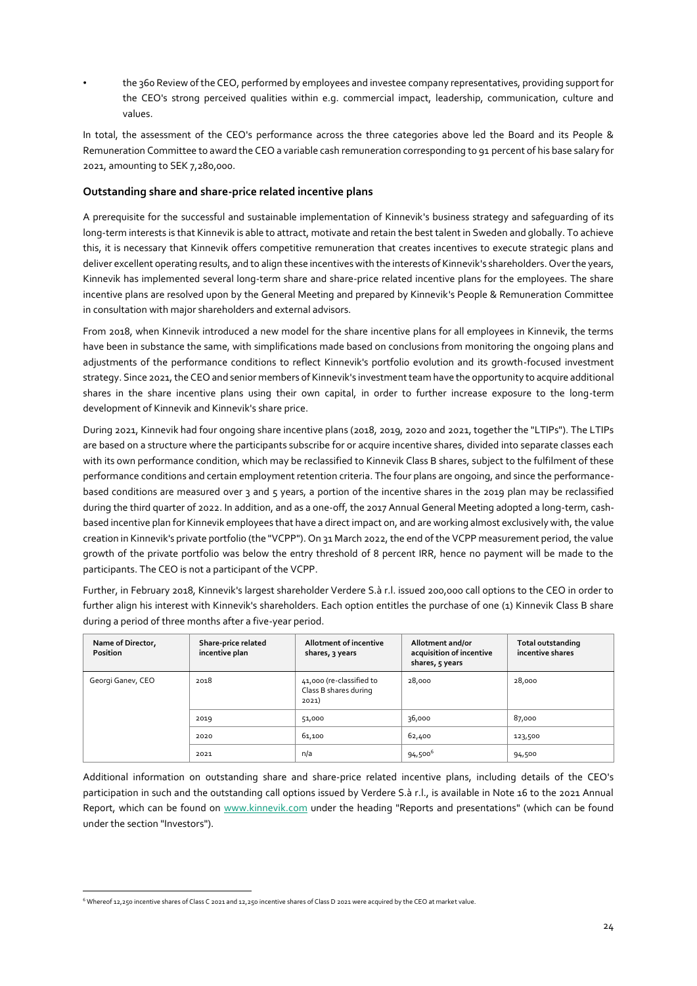• the 360 Review of the CEO, performed by employees and investee company representatives, providing support for the CEO's strong perceived qualities within e.g. commercial impact, leadership, communication, culture and values.

In total, the assessment of the CEO's performance across the three categories above led the Board and its People & Remuneration Committee to award the CEO a variable cash remuneration corresponding to 91 percent of his base salary for 2021, amounting to SEK 7,280,000.

# **Outstanding share and share-price related incentive plans**

A prerequisite for the successful and sustainable implementation of Kinnevik's business strategy and safeguarding of its long-term interests is that Kinnevik is able to attract, motivate and retain the best talent in Sweden and globally. To achieve this, it is necessary that Kinnevik offers competitive remuneration that creates incentives to execute strategic plans and deliver excellent operating results, and to align these incentives with the interests of Kinnevik's shareholders. Over the years, Kinnevik has implemented several long-term share and share-price related incentive plans for the employees. The share incentive plans are resolved upon by the General Meeting and prepared by Kinnevik's People & Remuneration Committee in consultation with major shareholders and external advisors.

From 2018, when Kinnevik introduced a new model for the share incentive plans for all employees in Kinnevik, the terms have been in substance the same, with simplifications made based on conclusions from monitoring the ongoing plans and adjustments of the performance conditions to reflect Kinnevik's portfolio evolution and its growth-focused investment strategy. Since 2021, the CEO and senior members of Kinnevik's investment team have the opportunity to acquire additional shares in the share incentive plans using their own capital, in order to further increase exposure to the long-term development of Kinnevik and Kinnevik's share price.

During 2021, Kinnevik had four ongoing share incentive plans (2018, 2019, 2020 and 2021, together the "LTIPs"). The LTIPs are based on a structure where the participants subscribe for or acquire incentive shares, divided into separate classes each with its own performance condition, which may be reclassified to Kinnevik Class B shares, subject to the fulfilment of these performance conditions and certain employment retention criteria. The four plans are ongoing, and since the performancebased conditions are measured over 3 and 5 years, a portion of the incentive shares in the 2019 plan may be reclassified during the third quarter of 2022. In addition, and as a one-off, the 2017 Annual General Meeting adopted a long-term, cashbased incentive plan for Kinnevik employees that have a direct impact on, and are working almost exclusively with, the value creation in Kinnevik's private portfolio (the "VCPP"). On 31 March 2022, the end of the VCPP measurement period, the value growth of the private portfolio was below the entry threshold of 8 percent IRR, hence no payment will be made to the participants. The CEO is not a participant of the VCPP.

Further, in February 2018, Kinnevik's largest shareholder Verdere S.à r.l. issued 200,000 call options to the CEO in order to further align his interest with Kinnevik's shareholders. Each option entitles the purchase of one (1) Kinnevik Class B share during a period of three months after a five-year period.

| Name of Director,<br><b>Position</b> | Share-price related<br>incentive plan | Allotment of incentive<br>shares, 3 years                  | Allotment and/or<br>acquisition of incentive<br>shares, 5 years | Total outstanding<br>incentive shares |
|--------------------------------------|---------------------------------------|------------------------------------------------------------|-----------------------------------------------------------------|---------------------------------------|
| Georgi Ganev, CEO                    | 2018                                  | 41,000 (re-classified to<br>Class B shares during<br>2021) | 28,000                                                          | 28,000                                |
|                                      | 2019                                  | 51,000                                                     | 36,000                                                          | 87,000                                |
|                                      | 2020                                  | 61,100                                                     | 62,400                                                          | 123,500                               |
|                                      | 2021                                  | n/a                                                        | 94,500 <sup>6</sup>                                             | 94,500                                |

Additional information on outstanding share and share-price related incentive plans, including details of the CEO's participation in such and the outstanding call options issued by Verdere S.à r.l., is available in Note 16 to the 2021 Annual Report, which can be found on www.kinnevik.com under the heading "Reports and presentations" (which can be found under the section "Investors").

<sup>&</sup>lt;sup>6</sup> Whereof 12,250 incentive shares of Class C 2021 and 12,250 incentive shares of Class D 2021 were acquired by the CEO at market value.